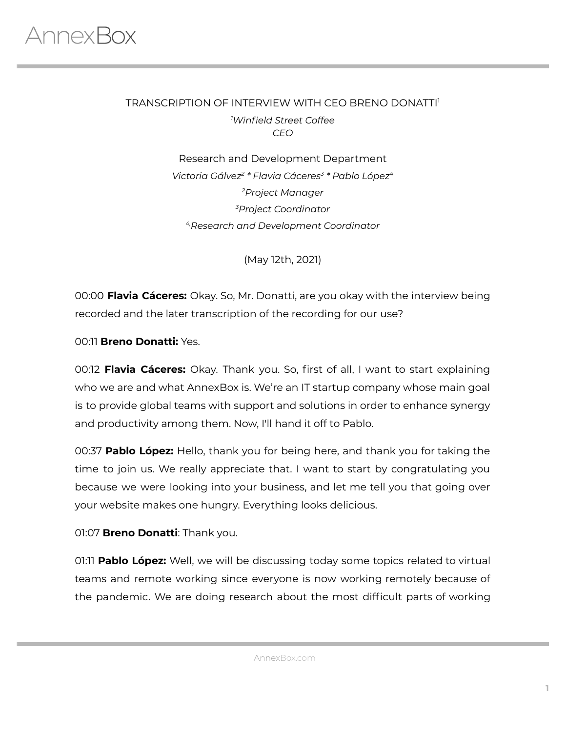### TRANSCRIPTION OF INTERVIEW WITH CEO BRENO DONATTI 1 *<sup>1</sup>Winfield Street Coffee CEO*

Research and Development Department *Victoria Gálvez 2 \* Flavia Cáceres 3 \* Pablo López 4 <sup>2</sup>Project Manager <sup>3</sup>Project Coordinator 4,Research and Development Coordinator*

(May 12th, 2021)

00:00 **Flavia Cáceres:** Okay. So, Mr. Donatti, are you okay with the interview being recorded and the later transcription of the recording for our use?

00:11 **Breno Donatti:** Yes.

00:12 **Flavia Cáceres:** Okay. Thank you. So, first of all, I want to start explaining who we are and what AnnexBox is. We're an IT startup company whose main goal is to provide global teams with support and solutions in order to enhance synergy and productivity among them. Now, I'll hand it off to Pablo.

00:37 **Pablo López:** Hello, thank you for being here, and thank you for taking the time to join us. We really appreciate that. I want to start by congratulating you because we were looking into your business, and let me tell you that going over your website makes one hungry. Everything looks delicious.

### 01:07 **Breno Donatti**: Thank you.

01:11 **Pablo López:** Well, we will be discussing today some topics related to virtual teams and remote working since everyone is now working remotely because of the pandemic. We are doing research about the most difficult parts of working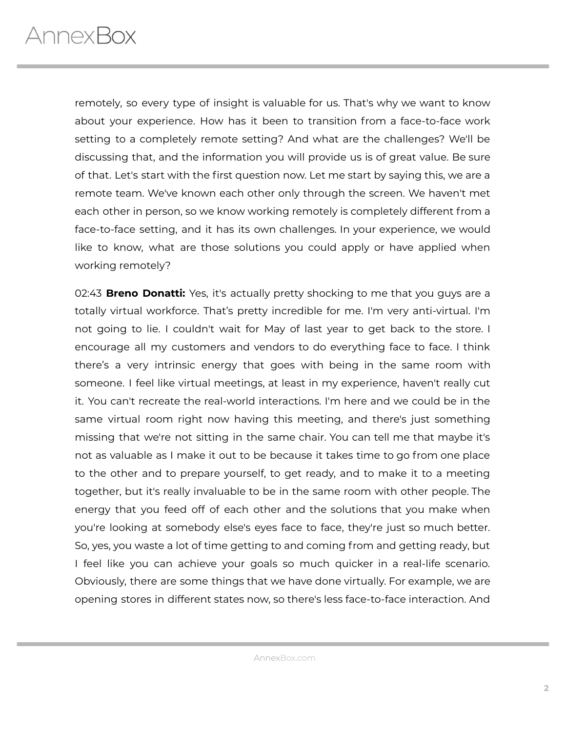remotely, so every type of insight is valuable for us. That's why we want to know about your experience. How has it been to transition from a face-to-face work setting to a completely remote setting? And what are the challenges? We'll be discussing that, and the information you will provide us is of great value. Be sure of that. Let's start with the first question now. Let me start by saying this, we are a remote team. We've known each other only through the screen. We haven't met each other in person, so we know working remotely is completely different from a face-to-face setting, and it has its own challenges. In your experience, we would like to know, what are those solutions you could apply or have applied when working remotely?

02:43 **Breno Donatti:** Yes, it's actually pretty shocking to me that you guys are a totally virtual workforce. That's pretty incredible for me. I'm very anti-virtual. I'm not going to lie. I couldn't wait for May of last year to get back to the store. I encourage all my customers and vendors to do everything face to face. I think there's a very intrinsic energy that goes with being in the same room with someone. I feel like virtual meetings, at least in my experience, haven't really cut it. You can't recreate the real-world interactions. I'm here and we could be in the same virtual room right now having this meeting, and there's just something missing that we're not sitting in the same chair. You can tell me that maybe it's not as valuable as I make it out to be because it takes time to go from one place to the other and to prepare yourself, to get ready, and to make it to a meeting together, but it's really invaluable to be in the same room with other people. The energy that you feed off of each other and the solutions that you make when you're looking at somebody else's eyes face to face, they're just so much better. So, yes, you waste a lot of time getting to and coming from and getting ready, but I feel like you can achieve your goals so much quicker in a real-life scenario. Obviously, there are some things that we have done virtually. For example, we are opening stores in different states now, so there's less face-to-face interaction. And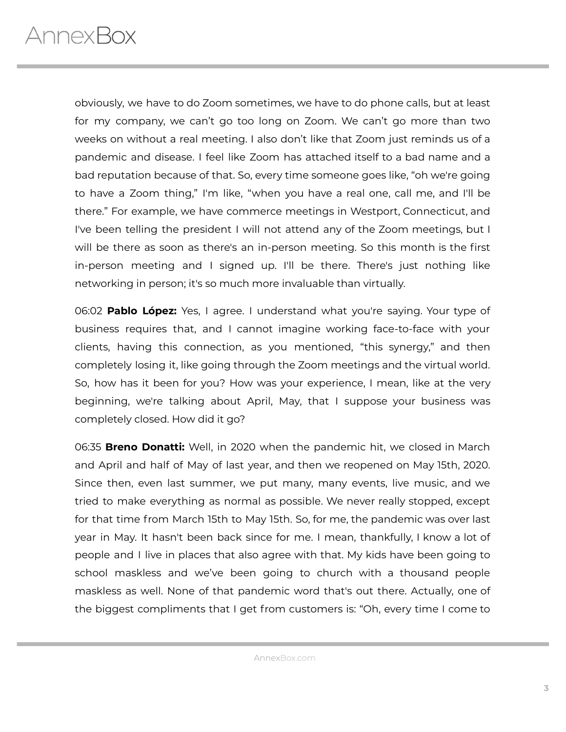obviously, we have to do Zoom sometimes, we have to do phone calls, but at least for my company, we can't go too long on Zoom. We can't go more than two weeks on without a real meeting. I also don't like that Zoom just reminds us of a pandemic and disease. I feel like Zoom has attached itself to a bad name and a bad reputation because of that. So, every time someone goes like, "oh we're going to have a Zoom thing," I'm like, "when you have a real one, call me, and I'll be there." For example, we have commerce meetings in Westport, Connecticut, and I've been telling the president I will not attend any of the Zoom meetings, but I will be there as soon as there's an in-person meeting. So this month is the first in-person meeting and I signed up. I'll be there. There's just nothing like networking in person; it's so much more invaluable than virtually.

06:02 **Pablo López:** Yes, I agree. I understand what you're saying. Your type of business requires that, and I cannot imagine working face-to-face with your clients, having this connection, as you mentioned, "this synergy," and then completely losing it, like going through the Zoom meetings and the virtual world. So, how has it been for you? How was your experience, I mean, like at the very beginning, we're talking about April, May, that I suppose your business was completely closed. How did it go?

06:35 **Breno Donatti:** Well, in 2020 when the pandemic hit, we closed in March and April and half of May of last year, and then we reopened on May 15th, 2020. Since then, even last summer, we put many, many events, live music, and we tried to make everything as normal as possible. We never really stopped, except for that time from March 15th to May 15th. So, for me, the pandemic was over last year in May. It hasn't been back since for me. I mean, thankfully, I know a lot of people and I live in places that also agree with that. My kids have been going to school maskless and we've been going to church with a thousand people maskless as well. None of that pandemic word that's out there. Actually, one of the biggest compliments that I get from customers is: "Oh, every time I come to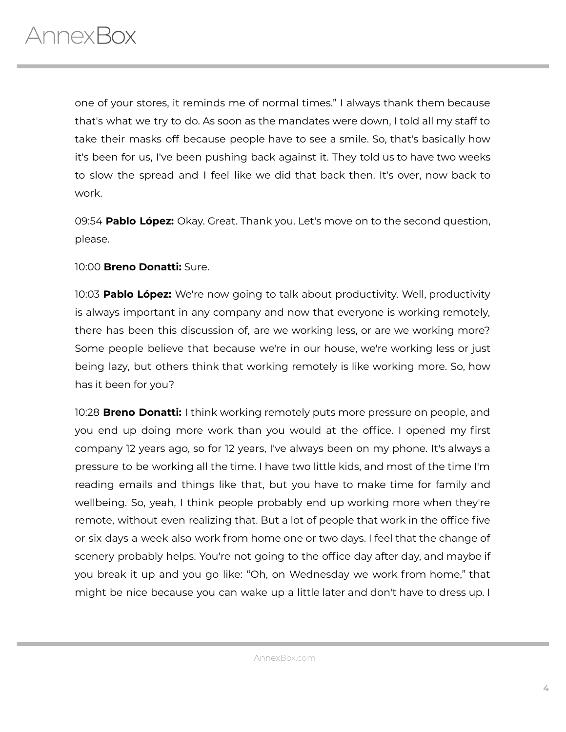one of your stores, it reminds me of normal times." I always thank them because that's what we try to do. As soon as the mandates were down, I told all my staff to take their masks off because people have to see a smile. So, that's basically how it's been for us, I've been pushing back against it. They told us to have two weeks to slow the spread and I feel like we did that back then. It's over, now back to work.

09:54 **Pablo López:** Okay. Great. Thank you. Let's move on to the second question, please.

### 10:00 **Breno Donatti:** Sure.

10:03 **Pablo López:** We're now going to talk about productivity. Well, productivity is always important in any company and now that everyone is working remotely, there has been this discussion of, are we working less, or are we working more? Some people believe that because we're in our house, we're working less or just being lazy, but others think that working remotely is like working more. So, how has it been for you?

10:28 **Breno Donatti:** I think working remotely puts more pressure on people, and you end up doing more work than you would at the office. I opened my first company 12 years ago, so for 12 years, I've always been on my phone. It's always a pressure to be working all the time. I have two little kids, and most of the time I'm reading emails and things like that, but you have to make time for family and wellbeing. So, yeah, I think people probably end up working more when they're remote, without even realizing that. But a lot of people that work in the office five or six days a week also work from home one or two days. I feel that the change of scenery probably helps. You're not going to the office day after day, and maybe if you break it up and you go like: "Oh, on Wednesday we work from home," that might be nice because you can wake up a little later and don't have to dress up. I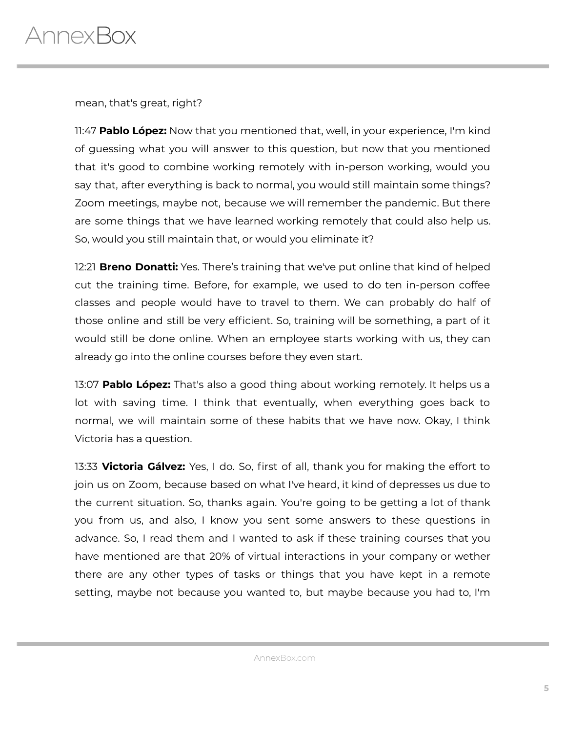mean, that's great, right?

11:47 **Pablo López:** Now that you mentioned that, well, in your experience, I'm kind of guessing what you will answer to this question, but now that you mentioned that it's good to combine working remotely with in-person working, would you say that, after everything is back to normal, you would still maintain some things? Zoom meetings, maybe not, because we will remember the pandemic. But there are some things that we have learned working remotely that could also help us. So, would you still maintain that, or would you eliminate it?

12:21 **Breno Donatti:** Yes. There's training that we've put online that kind of helped cut the training time. Before, for example, we used to do ten in-person coffee classes and people would have to travel to them. We can probably do half of those online and still be very efficient. So, training will be something, a part of it would still be done online. When an employee starts working with us, they can already go into the online courses before they even start.

13:07 **Pablo López:** That's also a good thing about working remotely. It helps us a lot with saving time. I think that eventually, when everything goes back to normal, we will maintain some of these habits that we have now. Okay, I think Victoria has a question.

13:33 **Victoria Gálvez:** Yes, I do. So, first of all, thank you for making the effort to join us on Zoom, because based on what I've heard, it kind of depresses us due to the current situation. So, thanks again. You're going to be getting a lot of thank you from us, and also, I know you sent some answers to these questions in advance. So, I read them and I wanted to ask if these training courses that you have mentioned are that 20% of virtual interactions in your company or wether there are any other types of tasks or things that you have kept in a remote setting, maybe not because you wanted to, but maybe because you had to, I'm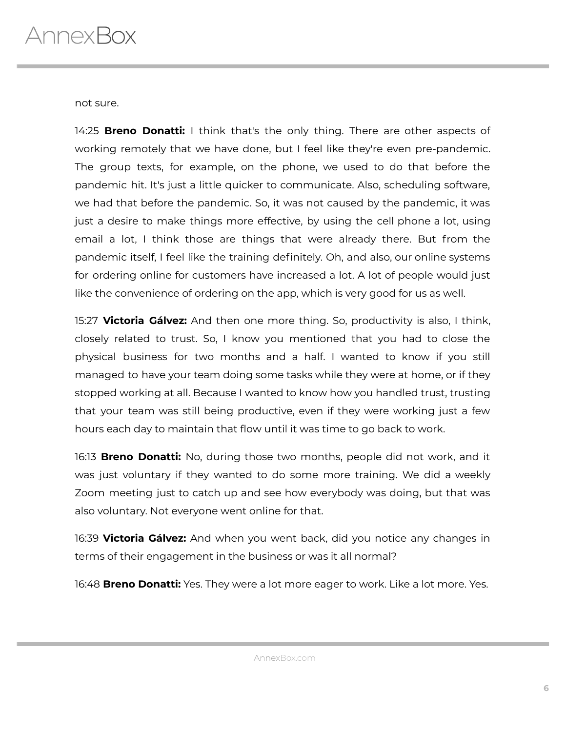not sure.

14:25 **Breno Donatti:** I think that's the only thing. There are other aspects of working remotely that we have done, but I feel like they're even pre-pandemic. The group texts, for example, on the phone, we used to do that before the pandemic hit. It's just a little quicker to communicate. Also, scheduling software, we had that before the pandemic. So, it was not caused by the pandemic, it was just a desire to make things more effective, by using the cell phone a lot, using email a lot, I think those are things that were already there. But from the pandemic itself, I feel like the training definitely. Oh, and also, our online systems for ordering online for customers have increased a lot. A lot of people would just like the convenience of ordering on the app, which is very good for us as well.

15:27 **Victoria Gálvez:** And then one more thing. So, productivity is also, I think, closely related to trust. So, I know you mentioned that you had to close the physical business for two months and a half. I wanted to know if you still managed to have your team doing some tasks while they were at home, or if they stopped working at all. Because I wanted to know how you handled trust, trusting that your team was still being productive, even if they were working just a few hours each day to maintain that flow until it was time to go back to work.

16:13 **Breno Donatti:** No, during those two months, people did not work, and it was just voluntary if they wanted to do some more training. We did a weekly Zoom meeting just to catch up and see how everybody was doing, but that was also voluntary. Not everyone went online for that.

16:39 **Victoria Gálvez:** And when you went back, did you notice any changes in terms of their engagement in the business or was it all normal?

16:48 **Breno Donatti:** Yes. They were a lot more eager to work. Like a lot more. Yes.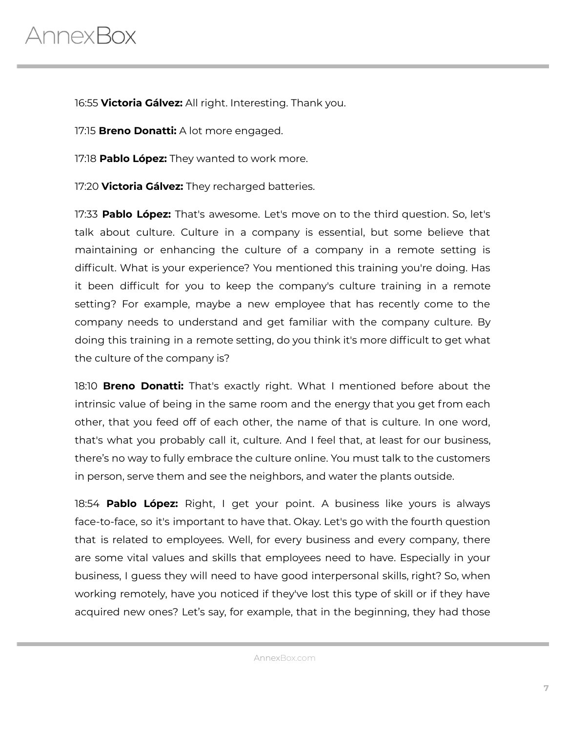# AnnexBox

16:55 **Victoria Gálvez:** All right. Interesting. Thank you.

17:15 **Breno Donatti:** A lot more engaged.

17:18 **Pablo López:** They wanted to work more.

17:20 **Victoria Gálvez:** They recharged batteries.

17:33 **Pablo López:** That's awesome. Let's move on to the third question. So, let's talk about culture. Culture in a company is essential, but some believe that maintaining or enhancing the culture of a company in a remote setting is difficult. What is your experience? You mentioned this training you're doing. Has it been difficult for you to keep the company's culture training in a remote setting? For example, maybe a new employee that has recently come to the company needs to understand and get familiar with the company culture. By doing this training in a remote setting, do you think it's more difficult to get what the culture of the company is?

18:10 **Breno Donatti:** That's exactly right. What I mentioned before about the intrinsic value of being in the same room and the energy that you get from each other, that you feed off of each other, the name of that is culture. In one word, that's what you probably call it, culture. And I feel that, at least for our business, there's no way to fully embrace the culture online. You must talk to the customers in person, serve them and see the neighbors, and water the plants outside.

18:54 **Pablo López:** Right, I get your point. A business like yours is always face-to-face, so it's important to have that. Okay. Let's go with the fourth question that is related to employees. Well, for every business and every company, there are some vital values and skills that employees need to have. Especially in your business, I guess they will need to have good interpersonal skills, right? So, when working remotely, have you noticed if they've lost this type of skill or if they have acquired new ones? Let's say, for example, that in the beginning, they had those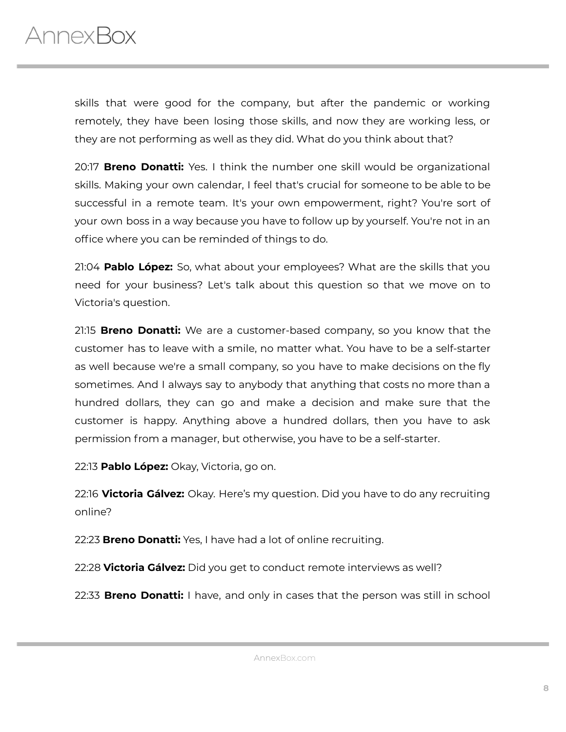

skills that were good for the company, but after the pandemic or working remotely, they have been losing those skills, and now they are working less, or they are not performing as well as they did. What do you think about that?

20:17 **Breno Donatti:** Yes. I think the number one skill would be organizational skills. Making your own calendar, I feel that's crucial for someone to be able to be successful in a remote team. It's your own empowerment, right? You're sort of your own boss in a way because you have to follow up by yourself. You're not in an office where you can be reminded of things to do.

21:04 **Pablo López:** So, what about your employees? What are the skills that you need for your business? Let's talk about this question so that we move on to Victoria's question.

21:15 **Breno Donatti:** We are a customer-based company, so you know that the customer has to leave with a smile, no matter what. You have to be a self-starter as well because we're a small company, so you have to make decisions on the fly sometimes. And I always say to anybody that anything that costs no more than a hundred dollars, they can go and make a decision and make sure that the customer is happy. Anything above a hundred dollars, then you have to ask permission from a manager, but otherwise, you have to be a self-starter.

22:13 **Pablo López:** Okay, Victoria, go on.

22:16 **Victoria Gálvez:** Okay. Here's my question. Did you have to do any recruiting online?

22:23 **Breno Donatti:** Yes, I have had a lot of online recruiting.

22:28 **Victoria Gálvez:** Did you get to conduct remote interviews as well?

22:33 **Breno Donatti:** I have, and only in cases that the person was still in school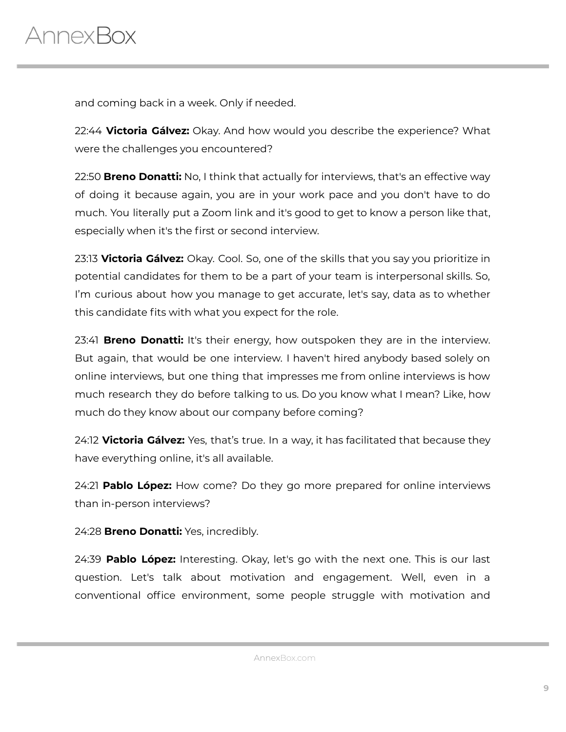and coming back in a week. Only if needed.

22:44 **Victoria Gálvez:** Okay. And how would you describe the experience? What were the challenges you encountered?

22:50 **Breno Donatti:** No, I think that actually for interviews, that's an effective way of doing it because again, you are in your work pace and you don't have to do much. You literally put a Zoom link and it's good to get to know a person like that, especially when it's the first or second interview.

23:13 **Victoria Gálvez:** Okay. Cool. So, one of the skills that you say you prioritize in potential candidates for them to be a part of your team is interpersonal skills. So, I'm curious about how you manage to get accurate, let's say, data as to whether this candidate fits with what you expect for the role.

23:41 **Breno Donatti:** It's their energy, how outspoken they are in the interview. But again, that would be one interview. I haven't hired anybody based solely on online interviews, but one thing that impresses me from online interviews is how much research they do before talking to us. Do you know what I mean? Like, how much do they know about our company before coming?

24:12 **Victoria Gálvez:** Yes, that's true. In a way, it has facilitated that because they have everything online, it's all available.

24:21 **Pablo López:** How come? Do they go more prepared for online interviews than in-person interviews?

24:28 **Breno Donatti:** Yes, incredibly.

24:39 **Pablo López:** Interesting. Okay, let's go with the next one. This is our last question. Let's talk about motivation and engagement. Well, even in a conventional office environment, some people struggle with motivation and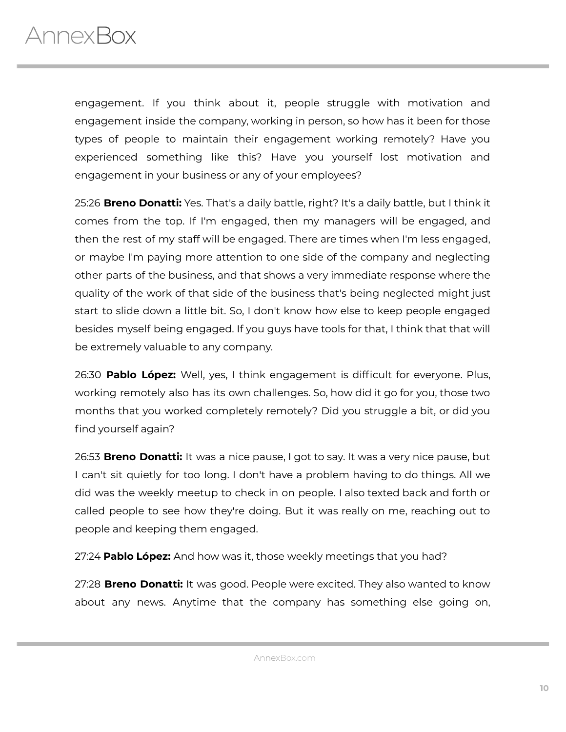

engagement. If you think about it, people struggle with motivation and engagement inside the company, working in person, so how has it been for those types of people to maintain their engagement working remotely? Have you experienced something like this? Have you yourself lost motivation and engagement in your business or any of your employees?

25:26 **Breno Donatti:** Yes. That's a daily battle, right? It's a daily battle, but I think it comes from the top. If I'm engaged, then my managers will be engaged, and then the rest of my staff will be engaged. There are times when I'm less engaged, or maybe I'm paying more attention to one side of the company and neglecting other parts of the business, and that shows a very immediate response where the quality of the work of that side of the business that's being neglected might just start to slide down a little bit. So, I don't know how else to keep people engaged besides myself being engaged. If you guys have tools for that, I think that that will be extremely valuable to any company.

26:30 **Pablo López:** Well, yes, I think engagement is difficult for everyone. Plus, working remotely also has its own challenges. So, how did it go for you, those two months that you worked completely remotely? Did you struggle a bit, or did you find yourself again?

26:53 **Breno Donatti:** It was a nice pause, I got to say. It was a very nice pause, but I can't sit quietly for too long. I don't have a problem having to do things. All we did was the weekly meetup to check in on people. I also texted back and forth or called people to see how they're doing. But it was really on me, reaching out to people and keeping them engaged.

27:24 **Pablo López:** And how was it, those weekly meetings that you had?

27:28 **Breno Donatti:** It was good. People were excited. They also wanted to know about any news. Anytime that the company has something else going on,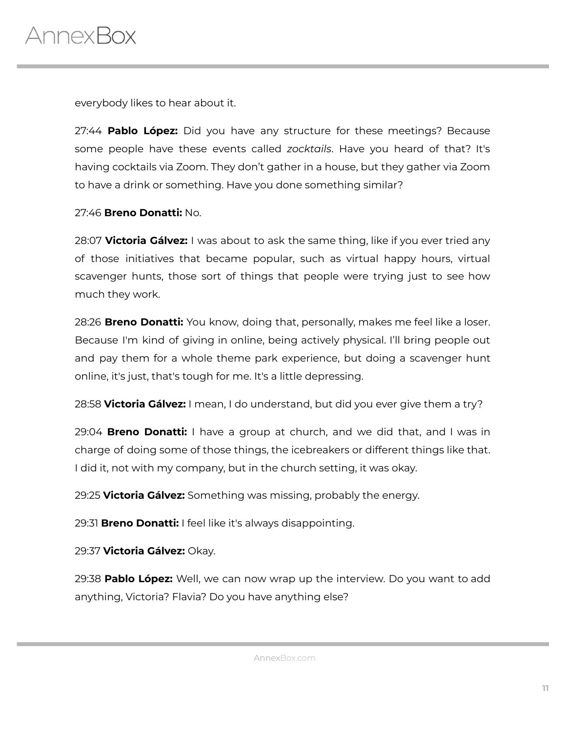

everybody likes to hear about it.

27:44 **Pablo López:** Did you have any structure for these meetings? Because some people have these events called *zocktails*. Have you heard of that? It's having cocktails via Zoom. They don't gather in a house, but they gather via Zoom to have a drink or something. Have you done something similar?

#### 27:46 **Breno Donatti:** No.

28:07 **Victoria Gálvez:** I was about to ask the same thing, like if you ever tried any of those initiatives that became popular, such as virtual happy hours, virtual scavenger hunts, those sort of things that people were trying just to see how much they work.

28:26 **Breno Donatti:** You know, doing that, personally, makes me feel like a loser. Because I'm kind of giving in online, being actively physical. I'll bring people out and pay them for a whole theme park experience, but doing a scavenger hunt online, it's just, that's tough for me. It's a little depressing.

28:58 **Victoria Gálvez:** I mean, I do understand, but did you ever give them a try?

29:04 **Breno Donatti:** I have a group at church, and we did that, and I was in charge of doing some of those things, the icebreakers or different things like that. I did it, not with my company, but in the church setting, it was okay.

29:25 **Victoria Gálvez:** Something was missing, probably the energy.

29:31 **Breno Donatti:** I feel like it's always disappointing.

29:37 **Victoria Gálvez:** Okay.

29:38 **Pablo López:** Well, we can now wrap up the interview. Do you want to add anything, Victoria? Flavia? Do you have anything else?